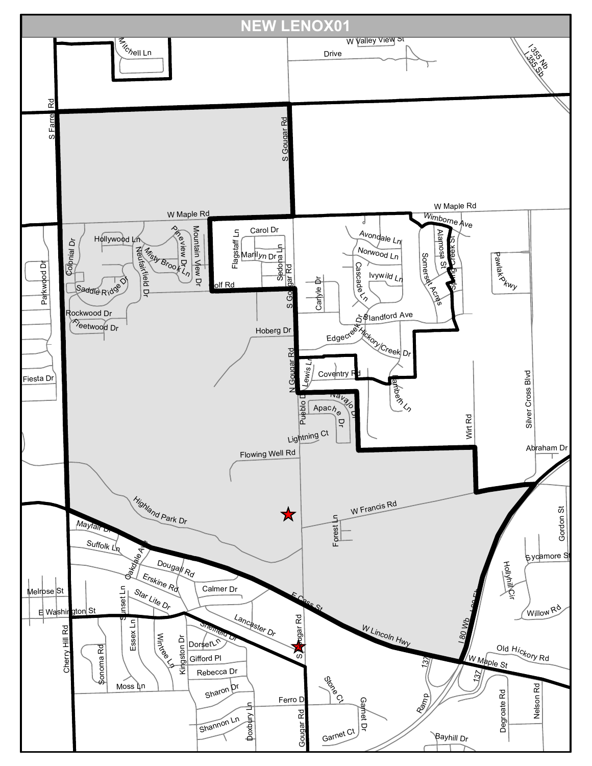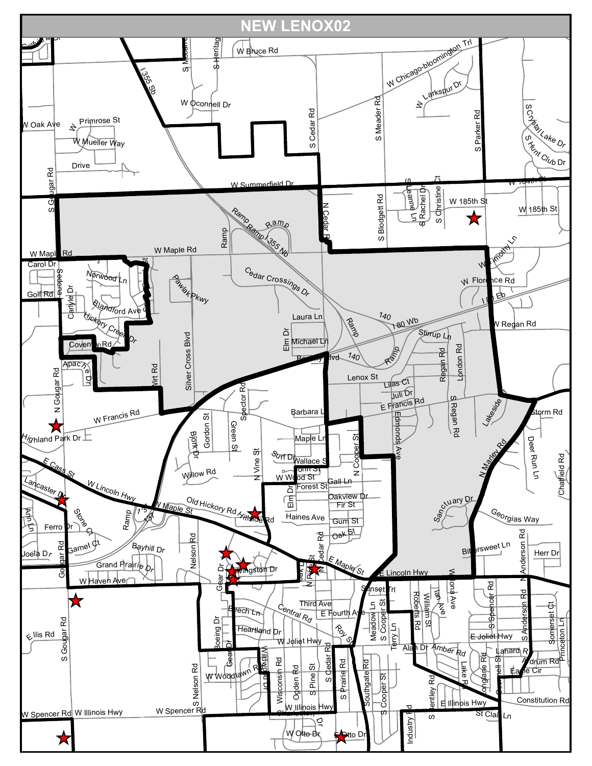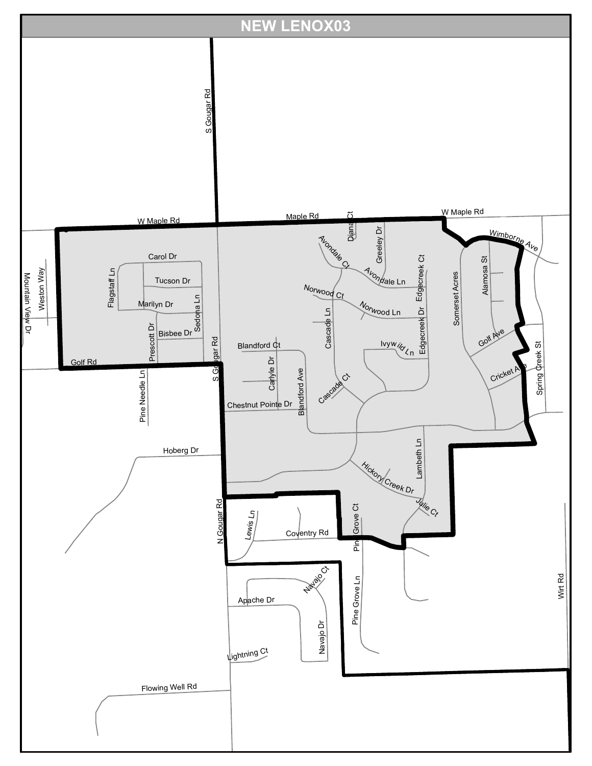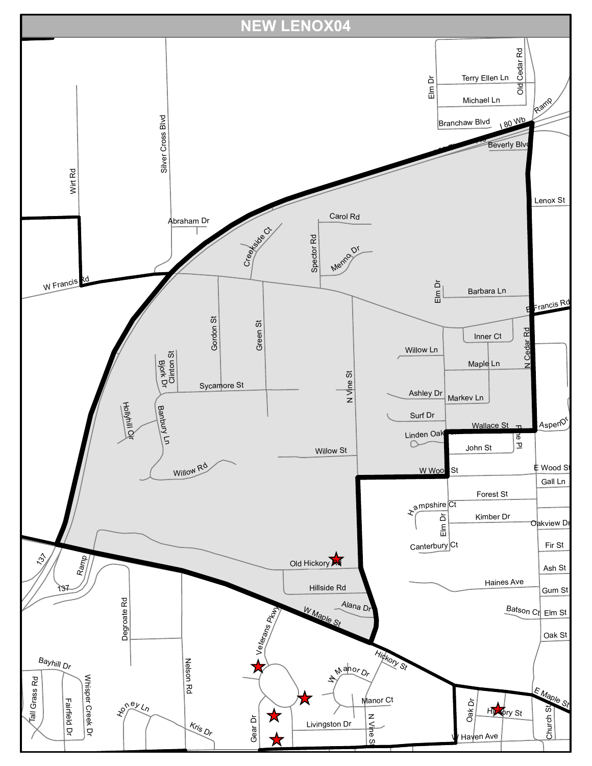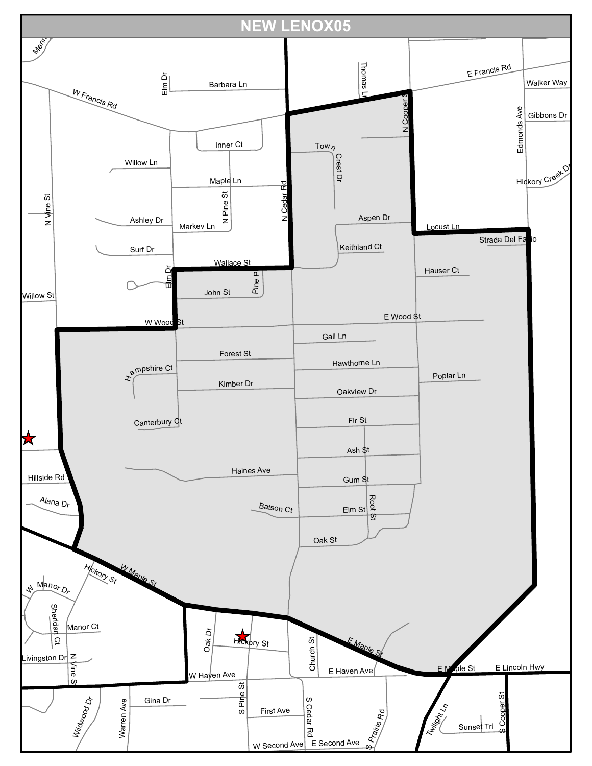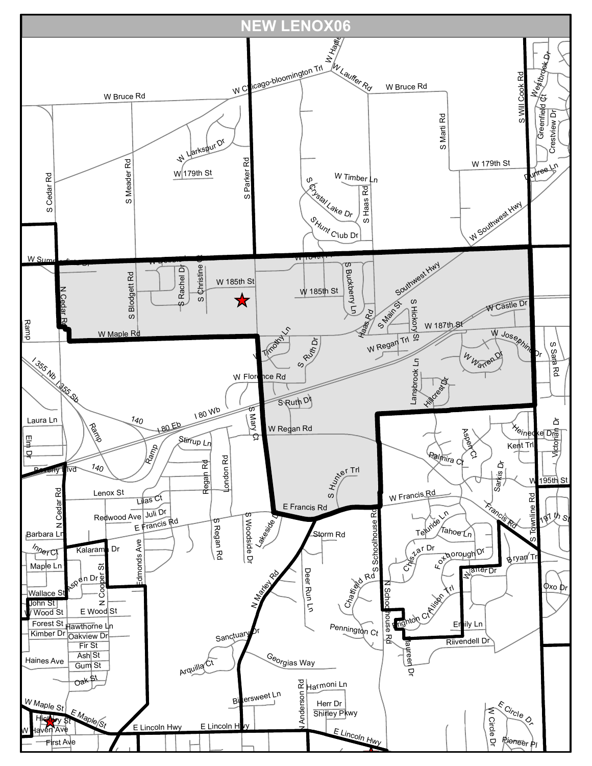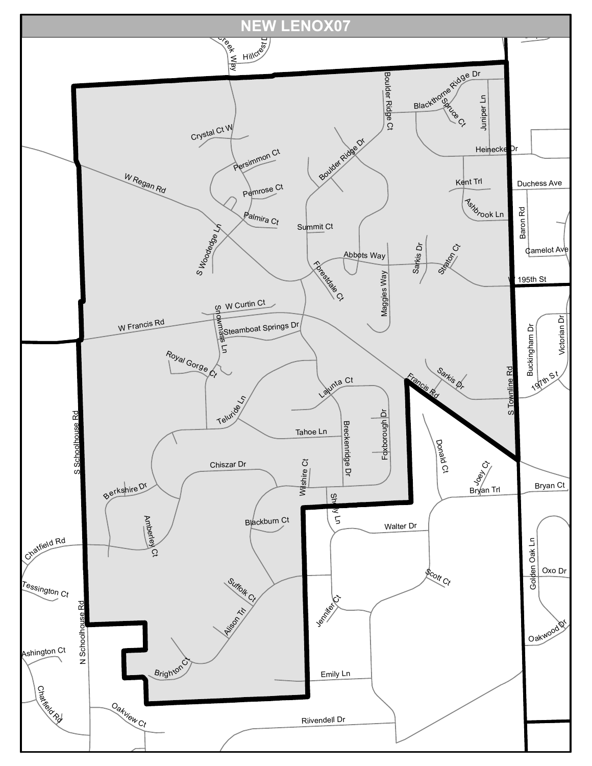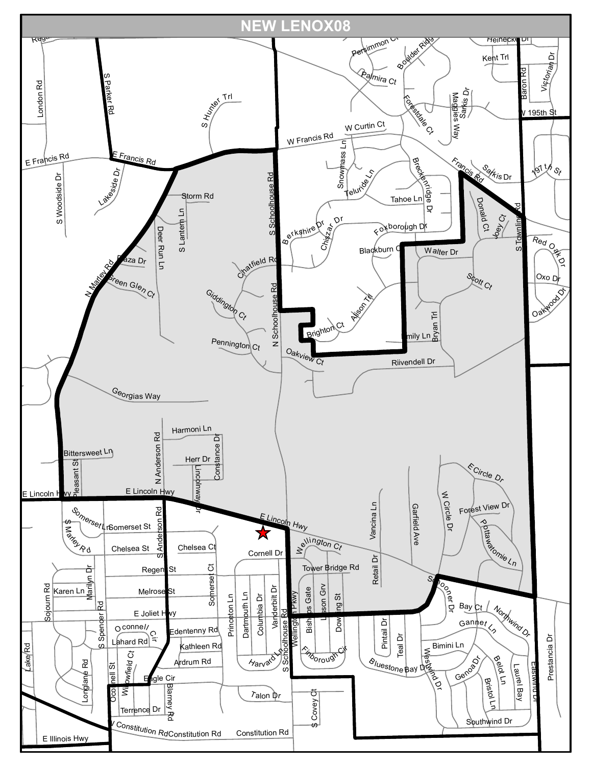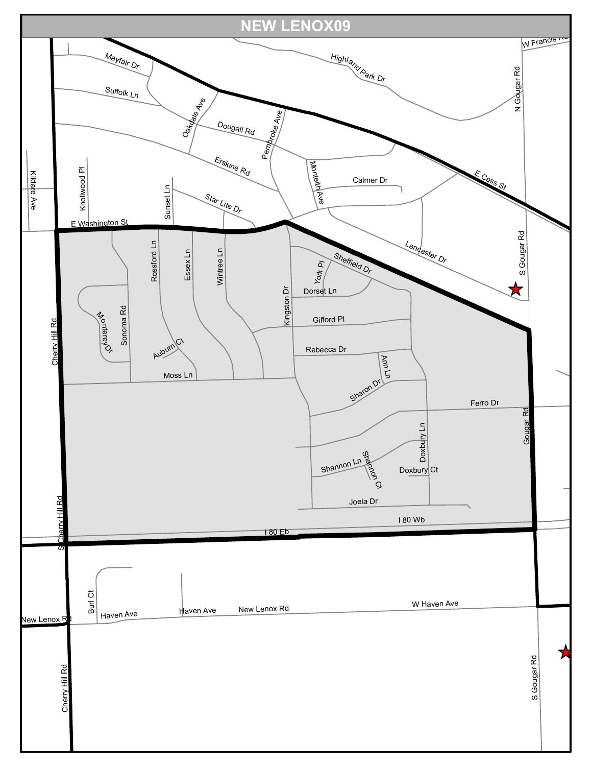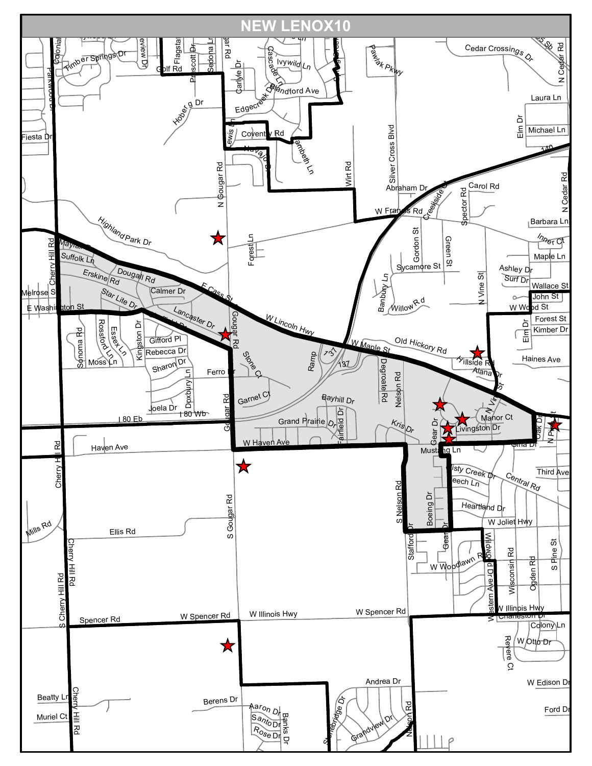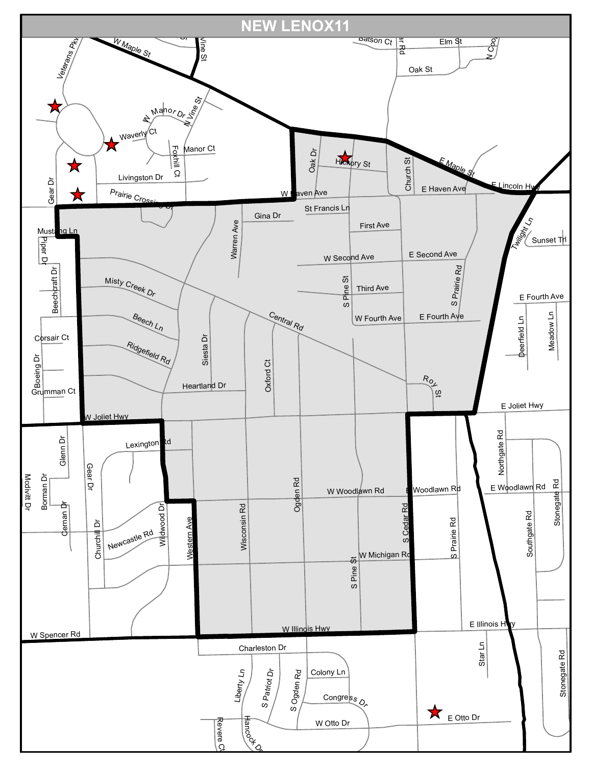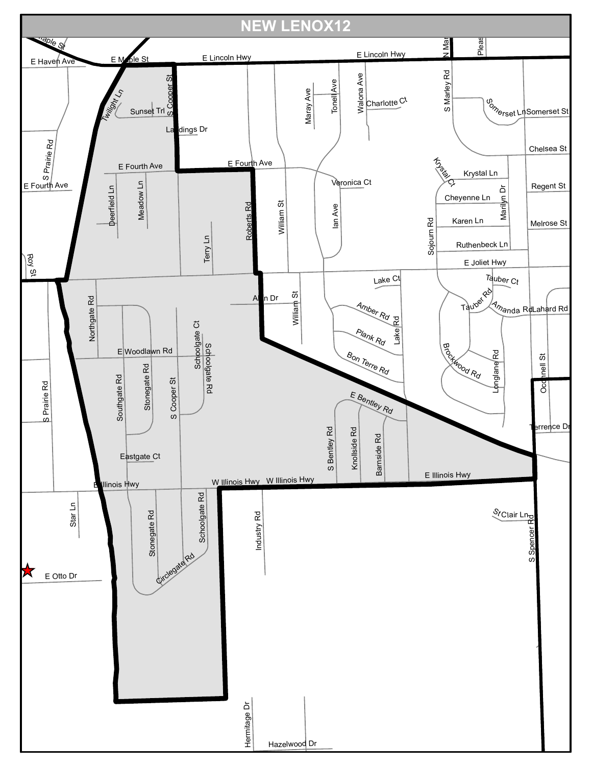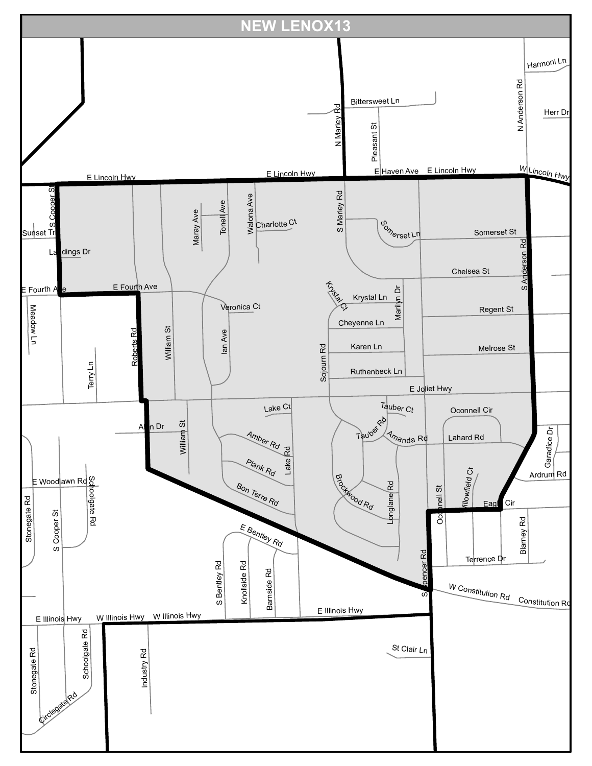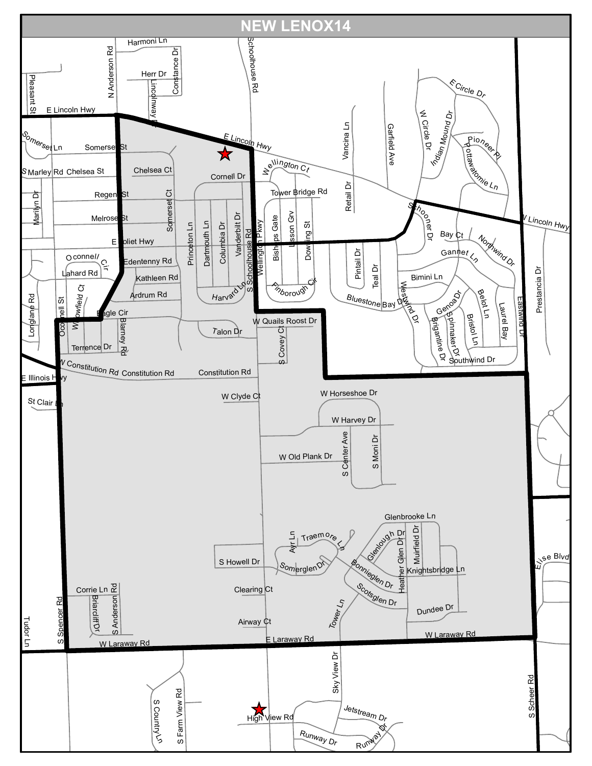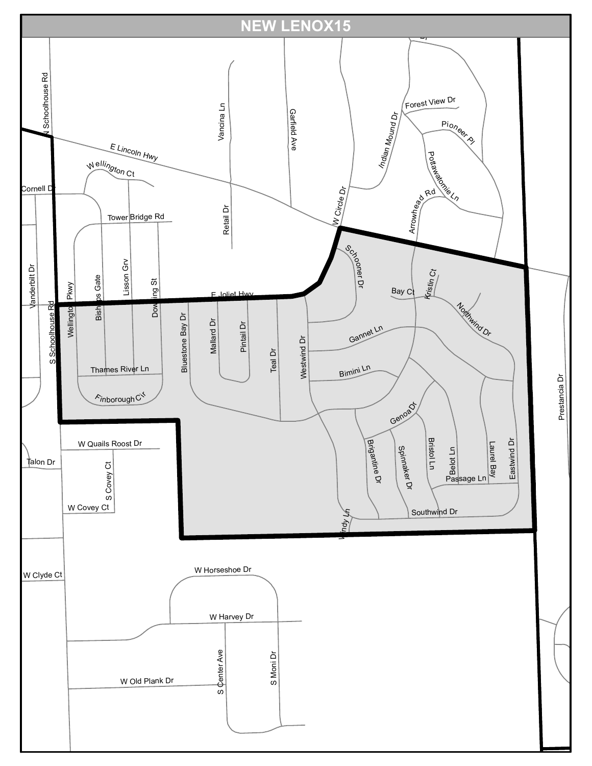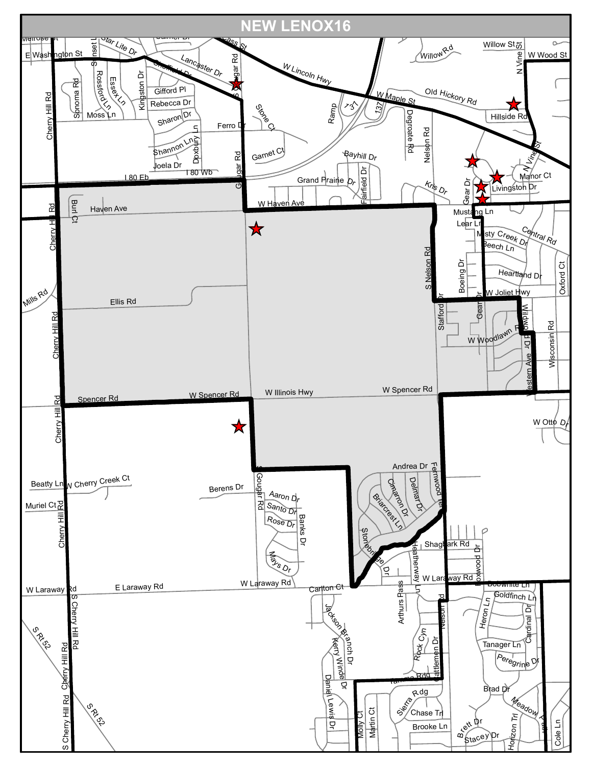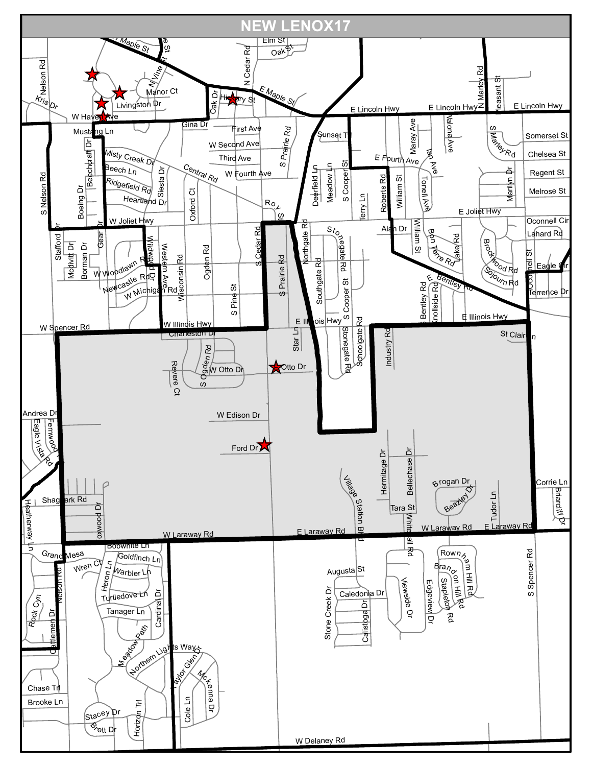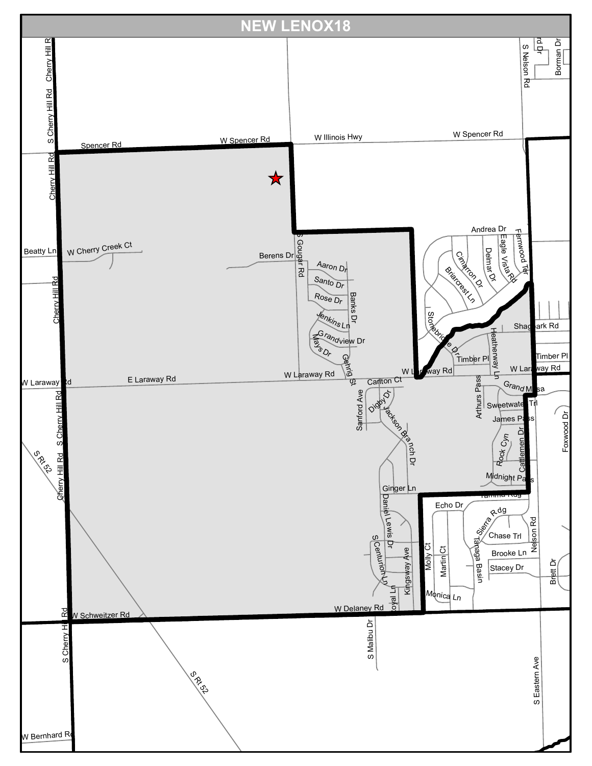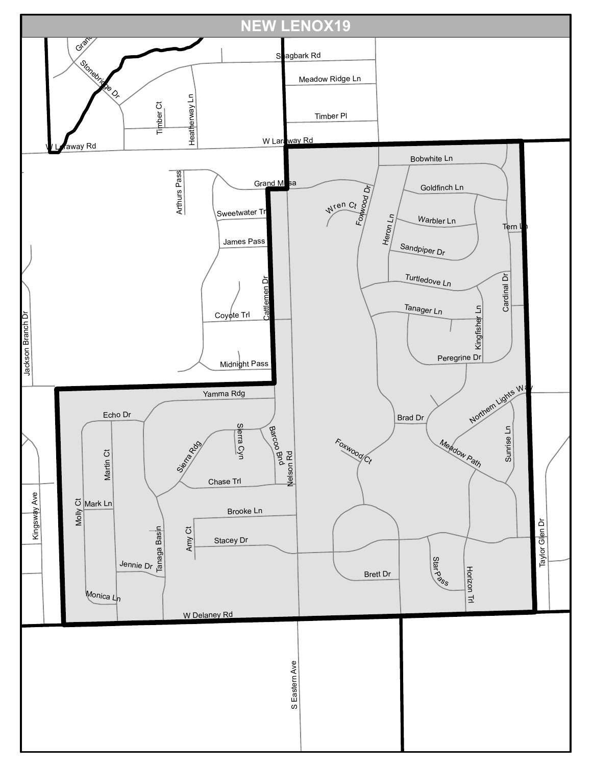